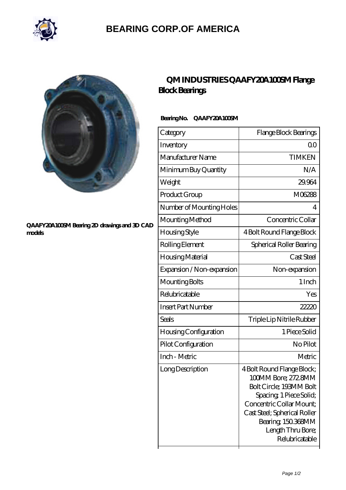

## **[BEARING CORP.OF AMERICA](https://m.bluemondayreview.com)**



#### **[QAAFY20A100SM Bearing 2D drawings and 3D CAD](https://m.bluemondayreview.com/pic-175570.html) [models](https://m.bluemondayreview.com/pic-175570.html)**

## **[QM INDUSTRIES QAAFY20A100SM Flange](https://m.bluemondayreview.com/aw-175570-qm-industries-qaafy20a100sm-flange-block-bearings.html) [Block Bearings](https://m.bluemondayreview.com/aw-175570-qm-industries-qaafy20a100sm-flange-block-bearings.html)**

### **Bearing No. QAAFY20A100SM**

| Category                     | Flange Block Bearings                                                                                                                                                                                                            |
|------------------------------|----------------------------------------------------------------------------------------------------------------------------------------------------------------------------------------------------------------------------------|
| Inventory                    | 0 <sub>0</sub>                                                                                                                                                                                                                   |
| Manufacturer Name            | <b>TIMKEN</b>                                                                                                                                                                                                                    |
| Minimum Buy Quantity         | N/A                                                                                                                                                                                                                              |
| Weight                       | 29.964                                                                                                                                                                                                                           |
| Product Group                | M06288                                                                                                                                                                                                                           |
| Number of Mounting Holes     | 4                                                                                                                                                                                                                                |
| Mounting Method              | Concentric Collar                                                                                                                                                                                                                |
| Housing Style                | 4 Bolt Round Flange Block                                                                                                                                                                                                        |
| Rolling Element              | Spherical Roller Bearing                                                                                                                                                                                                         |
| Housing Material             | Cast Steel                                                                                                                                                                                                                       |
| Expansion / Non-expansion    | Non-expansion                                                                                                                                                                                                                    |
| Mounting Bolts               | 1 Inch                                                                                                                                                                                                                           |
| Relubricatable               | Yes                                                                                                                                                                                                                              |
| <b>Insert Part Number</b>    | 22220                                                                                                                                                                                                                            |
| <b>Seals</b>                 | Triple Lip Nitrile Rubber                                                                                                                                                                                                        |
| <b>Housing Configuration</b> | 1 Piece Solid                                                                                                                                                                                                                    |
| Pilot Configuration          | No Pilot                                                                                                                                                                                                                         |
| Inch - Metric                | Metric                                                                                                                                                                                                                           |
| Long Description             | 4 Bolt Round Flange Block;<br>100MM Bore; 272 8MM<br>Bolt Circle; 193MM Bolt<br>Spacing, 1 Piece Solid;<br>Concentric Collar Mount:<br>Cast Steel; Spherical Roller<br>Bearing, 150.368MM<br>Length Thru Bore;<br>Relubricatable |